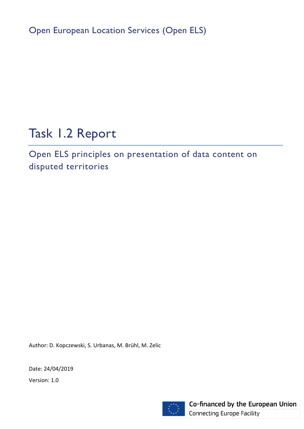Open European Location Services (Open ELS)

# Task 1.2 Report

Open ELS principles on presentation of data content on disputed territories

Author: D. Kopczewski, S. Urbanas, M. Brühl, M. Zelic

Date: 24/04/2019

Version: 1.0



Co-financed by the European Union **Connecting Europe Facility**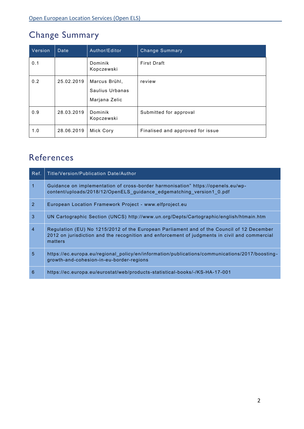## Change Summary

| Version | Date       | Author/Editor                                     | <b>Change Summary</b>            |
|---------|------------|---------------------------------------------------|----------------------------------|
| 0.1     |            | Dominik<br>Kopczewski                             | <b>First Draft</b>               |
| 0.2     | 25.02.2019 | Marcus Brühl,<br>Saulius Urbanas<br>Marjana Zelic | review                           |
| 0.9     | 28.03.2019 | Dominik<br>Kopczewski                             | Submitted for approval           |
| 1.0     | 28.06.2019 | Mick Cory                                         | Finalised and approved for issue |

## References

| Ref.           | Title/Version/Publication Date/Author                                                                                                                                                                 |
|----------------|-------------------------------------------------------------------------------------------------------------------------------------------------------------------------------------------------------|
| $\mathbf{1}$   | Guidance on implementation of cross-border harmonisation" https://openels.eu/wp-<br>content/uploads/2018/12/OpenELS guidance edgematching version1 0.pdf                                              |
| 2              | European Location Framework Project - www.elfproject.eu                                                                                                                                               |
| 3              | UN Cartographic Section (UNCS) http://www.un.org/Depts/Cartographic/english/htmain.htm                                                                                                                |
| $\overline{4}$ | Regulation (EU) No 1215/2012 of the European Parliament and of the Council of 12 December<br>2012 on jurisdiction and the recognition and enforcement of judgments in civil and commercial<br>matters |
| 5              | https://ec.europa.eu/regional_policy/en/information/publications/communications/2017/boosting-<br>growth-and-cohesion-in-eu-border-regions                                                            |
| 6              | https://ec.europa.eu/eurostat/web/products-statistical-books/-/KS-HA-17-001                                                                                                                           |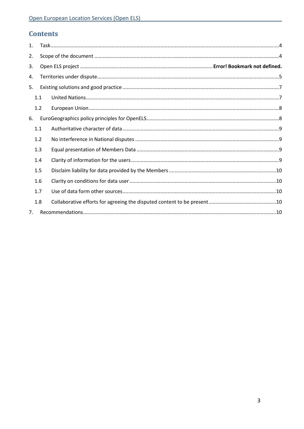### **Contents**

| 1. |     |  |  |  |  |  |
|----|-----|--|--|--|--|--|
| 2. |     |  |  |  |  |  |
| 3. |     |  |  |  |  |  |
| 4. |     |  |  |  |  |  |
| 5. |     |  |  |  |  |  |
|    | 1.1 |  |  |  |  |  |
|    | 1.2 |  |  |  |  |  |
| 6. |     |  |  |  |  |  |
|    | 1.1 |  |  |  |  |  |
|    | 1.2 |  |  |  |  |  |
|    | 1.3 |  |  |  |  |  |
|    | 1.4 |  |  |  |  |  |
|    | 1.5 |  |  |  |  |  |
|    | 1.6 |  |  |  |  |  |
|    | 1.7 |  |  |  |  |  |
|    | 1.8 |  |  |  |  |  |
| 7. |     |  |  |  |  |  |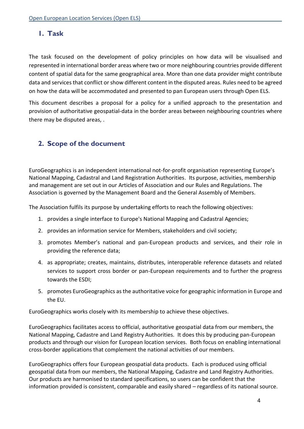### <span id="page-3-0"></span>**1. Task**

The task focused on the development of policy principles on how data will be visualised and represented in international border areas where two or more neighbouring countries provide different content of spatial data for the same geographical area. More than one data provider might contribute data and services that conflict or show different content in the disputed areas. Rules need to be agreed on how the data will be accommodated and presented to pan European users through Open ELS.

This document describes a proposal for a policy for a unified approach to the presentation and provision of authoritative geospatial-data in the border areas between neighbouring countries where there may be disputed areas, .

### <span id="page-3-1"></span>**2. Scope of the document**

EuroGeographics is an independent international not-for-profit organisation representing Europe's National Mapping, Cadastral and Land Registration Authorities. Its purpose, activities, membership and management are set out in our [Articles of Association](https://eurogeographics.org/wp-content/uploads/2018/03/Article_of_Association_v1.pdf) and our [Rules and Regulations.](https://eurogeographics.org/wp-content/uploads/2018/03/EuroGeographics_AISBL_Rules_and_Regulations_v1_0.pdf) The Association is governed by the [Management Board](https://eurogeographics.org/about-us/governance/management-board/) and the General Assembly of Members.

The Association fulfils its purpose by undertaking efforts to reach the following objectives:

- 1. provides a single interface to Europe's National Mapping and Cadastral Agencies;
- 2. provides an information service for Members, stakeholders and civil society;
- 3. promotes Member's national and pan-European products and services, and their role in providing the reference data;
- 4. as appropriate; creates, maintains, distributes, interoperable reference datasets and related services to support cross border or pan-European requirements and to further the progress towards the ESDI;
- 5. promotes EuroGeographics as the authoritative voice for geographic information in Europe and the EU.

EuroGeographics works closely with its membership to achieve these objectives.

EuroGeographics facilitates access to official, authoritative geospatial data from our members, the National Mapping, Cadastre and Land Registry Authorities. It does this by producing pan-European products and through our vision for [European location services.](https://eurogeographics.org/services/european-location-services/) Both focus on enabling international cross-border applications that complement the national activities of our members.

EuroGeographics offers four European geospatial data products. Each is produced using official geospatial data from our members, the National Mapping, Cadastre and Land Registry Authorities. Our products are harmonised to standard specifications, so users can be confident that the information provided is consistent, comparable and easily shared – regardless of its national source.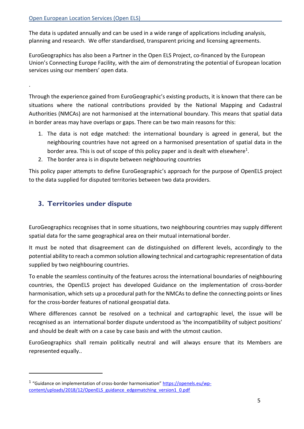.

-

The data is updated annually and can be used in a wide range of applications including analysis, planning and research. We offer standardised, transparent pricing and [licensing agreements.](https://eurogeographics.org/services/licensing/)

EuroGeographics has also been a Partner in the [Open ELS Project,](https://openels.eu/) co-financed by the European Union's Connecting Europe Facility, with the aim of demonstrating the potential of European location services using our members' open data.

Through the experience gained from EuroGeographic's existing products, it is known that there can be situations where the national contributions provided by the National Mapping and Cadastral Authorities (NMCAs) are not harmonised at the international boundary. This means that spatial data in border areas may have overlaps or gaps. There can be two main reasons for this:

- 1. The data is not edge matched: the international boundary is agreed in general, but the neighbouring countries have not agreed on a harmonised presentation of spatial data in the border area. This is out of scope of this policy paper and is dealt with elsewhere<sup>1</sup>.
- 2. The border area is in dispute between neighbouring countries

This policy paper attempts to define EuroGeographic's approach for the purpose of OpenELS project to the data supplied for disputed territories between two data providers.

### <span id="page-4-0"></span>**3. Territories under dispute**

EuroGeographics recognises that in some situations, two neighbouring countries may supply different spatial data for the same geographical area on their mutual international border.

It must be noted that disagreement can de distinguished on different levels, accordingly to the potential ability to reach a common solution allowing technical and cartographic representation of data supplied by two neighbouring countries.

To enable the seamless continuity of the features across the international boundaries of neighbouring countries, the OpenELS project has developed Guidance on the implementation of cross-border harmonisation, which sets up a procedural path for the NMCAs to define the connecting points or lines for the cross-border features of national geospatial data.

Where differences cannot be resolved on a technical and cartographic level, the issue will be recognised as an international border dispute understood as 'the incompatibility of subject positions' and should be dealt with on a case by case basis and with the utmost caution.

EuroGeographics shall remain politically neutral and will always ensure that its Members are represented equally..

<sup>&</sup>lt;sup>1</sup> "Guidance on implementation of cross-border harmonisation" [https://openels.eu/wp](https://openels.eu/wp-content/uploads/2018/12/OpenELS_guidance_edgematching_version1_0.pdf)[content/uploads/2018/12/OpenELS\\_guidance\\_edgematching\\_version1\\_0.pdf](https://openels.eu/wp-content/uploads/2018/12/OpenELS_guidance_edgematching_version1_0.pdf)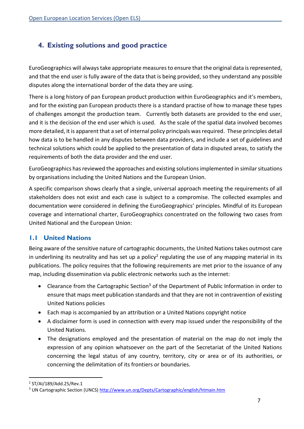### <span id="page-6-0"></span>**4. Existing solutions and good practice**

EuroGeographics will always take appropriate measures to ensure that the original data is represented, and that the end user is fully aware of the data that is being provided, so they understand any possible disputes along the international border of the data they are using.

There is a long history of pan European product production within EuroGeographics and it's members, and for the existing pan European products there is a standard practise of how to manage these types of challenges amongst the production team. Currently both datasets are provided to the end user, and it is the decision of the end user which is used. As the scale of the spatial data involved becomes more detailed, it is apparent that a set of internal policy principals was required. These principles detail how data is to be handled in any disputes between data providers, and include a set of guidelines and technical solutions which could be applied to the presentation of data in disputed areas, to satisfy the requirements of both the data provider and the end user.

EuroGeographics has reviewed the approaches and existing solutions implemented in similar situations by organisations including the United Nations and the European Union.

A specific comparison shows clearly that a single, universal approach meeting the requirements of all stakeholders does not exist and each case is subject to a compromise. The collected examples and documentation were considered in defining the EuroGeographics' principles. Mindful of its European coverage and international charter, EuroGeographics concentrated on the following two cases from United National and the European Union:

### <span id="page-6-1"></span>**1.1 United Nations**

Being aware of the sensitive nature of cartographic documents, the United Nations takes outmost care in underlining its neutrality and has set up a policy<sup>2</sup> regulating the use of any mapping material in its publications. The policy requires that the following requirements are met prior to the issuance of any map, including dissemination via public electronic networks such as the internet:

- Clearance from the Cartographic Section<sup>3</sup> of the Department of Public Information in order to ensure that maps meet publication standards and that they are not in contravention of existing United Nations policies
- Each map is accompanied by an attribution or a United Nations copyright notice
- A disclaimer form is used in connection with every map issued under the responsibility of the United Nations.
- The designations employed and the presentation of material on the map do not imply the expression of any opinion whatsoever on the part of the Secretariat of the United Nations concerning the legal status of any country, territory, city or area or of its authorities, or concerning the delimitation of its frontiers or boundaries.

-

<sup>2</sup> ST/AI/189/Add.25/Rev.1

<sup>&</sup>lt;sup>3</sup> UN Cartographic Section (UNCS)<http://www.un.org/Depts/Cartographic/english/htmain.htm>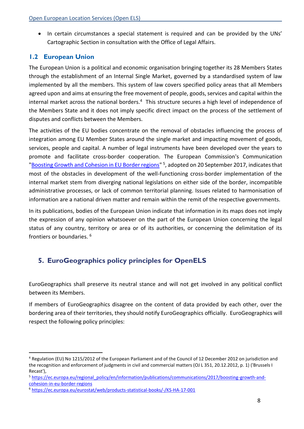• In certain circumstances a special statement is required and can be provided by the UNs' Cartographic Section in consultation with the Office of Legal Affairs.

### <span id="page-7-0"></span>**1.2 European Union**

The European Union is a political and economic organisation bringing together its 28 Members States through the establishment of an Internal Single Market, governed by a standardised system of law implemented by all the members. This system of law covers specified policy areas that all Members agreed upon and aims at ensuring the free movement of people, goods, services and capital within the internal market across the national borders.<sup>4</sup> This structure secures a high level of independence of the Members State and it does not imply specific direct impact on the process of the settlement of disputes and conflicts between the Members.

The activities of the EU bodies concentrate on the removal of obstacles influencing the process of integration among EU Member States around the single market and impacting movement of goods, services, people and capital. A number of legal instruments have been developed over the years to promote and facilitate cross-border cooperation. The European Commission's Communication "Boosting Growth and Cohesion in EU Border regions"<sup>5</sup>, adopted on 20 September 2017, indicates that most of the obstacles in development of the well-functioning cross-border implementation of the internal market stem from diverging national legislations on either side of the border, incompatible administrative processes, or lack of common territorial planning. Issues related to harmonisation of information are a national driven matter and remain within the remit of the respective governments.

In its publications, bodies of the European Union indicate that information in its maps does not imply the expression of any opinion whatsoever on the part of the European Union concerning the legal status of any country, territory or area or of its authorities, or concerning the delimitation of its frontiers or boundaries. <sup>6</sup>

### <span id="page-7-1"></span>**5. EuroGeographics policy principles for OpenELS**

EuroGeographics shall preserve its neutral stance and will not get involved in any political conflict between its Members.

If members of EuroGeographics disagree on the content of data provided by each other, over the bordering area of their territories, they should notify EuroGeographics officially. EuroGeographics will respect the following policy principles:

-

<sup>4</sup> Regulation (EU) No 1215/2012 of the European Parliament and of the Council of 12 December 2012 on jurisdiction and the recognition and enforcement of judgments in civil and commercial matters (OJ L 351, 20.12.2012, p. 1) ('Brussels I Recast'),

<sup>5</sup> https://ec.europa.eu/regional\_policy/en/information/publications/communications/2017/boosting-growth-andcohesion-in-eu-border-regions

<sup>6</sup> <https://ec.europa.eu/eurostat/web/products-statistical-books/-/KS-HA-17-001>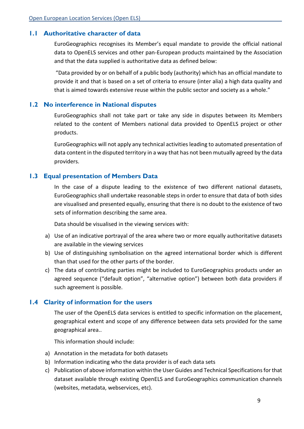### <span id="page-8-0"></span>**1.1 Authoritative character of data**

EuroGeographics recognises its Member's equal mandate to provide the official national data to OpenELS services and other pan-European products maintained by the Association and that the data supplied is authoritative data as defined below:

"Data provided by or on behalf of a public body (authority) which has an official mandate to provide it and that is based on a set of criteria to ensure (inter alia) a high data quality and that is aimed towards extensive reuse within the public sector and society as a whole."

#### <span id="page-8-1"></span>**1.2 No interference in National disputes**

EuroGeographics shall not take part or take any side in disputes between its Members related to the content of Members national data provided to OpenELS project or other products.

EuroGeographics will not apply any technical activities leading to automated presentation of data content in the disputed territory in a way that has not been mutually agreed by the data providers.

#### <span id="page-8-2"></span>**1.3 Equal presentation of Members Data**

In the case of a dispute leading to the existence of two different national datasets, EuroGeographics shall undertake reasonable steps in order to ensure that data of both sides are visualised and presented equally, ensuring that there is no doubt to the existence of two sets of information describing the same area.

Data should be visualised in the viewing services with:

- a) Use of an indicative portrayal of the area where two or more equally authoritative datasets are available in the viewing services
- b) Use of distinguishing symbolisation on the agreed international border which is different than that used for the other parts of the border.
- c) The data of contributing parties might be included to EuroGeographics products under an agreed sequence ("default option", "alternative option") between both data providers if such agreement is possible.

#### <span id="page-8-3"></span>**1.4 Clarity of information for the users**

The user of the OpenELS data services is entitled to specific information on the placement, geographical extent and scope of any difference between data sets provided for the same geographical area..

This information should include:

- a) Annotation in the metadata for both datasets
- b) Information indicating who the data provider is of each data sets
- c) Publication of above information within the User Guides and Technical Specifications for that dataset available through existing OpenELS and EuroGeographics communication channels (websites, metadata, webservices, etc).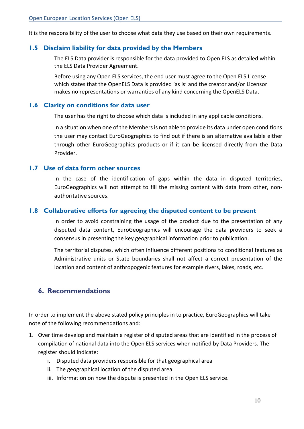It is the responsibility of the user to choose what data they use based on their own requirements.

### <span id="page-9-0"></span>**1.5 Disclaim liability for data provided by the Members**

The ELS Data provider is responsible for the data provided to Open ELS as detailed within the ELS Data Provider Agreement.

Before using any Open ELS services, the end user must agree to the Open ELS License which states that the OpenELS Data is provided 'as is' and the creator and/or Licensor makes no representations or warranties of any kind concerning the OpenELS Data.

#### <span id="page-9-1"></span>**1.6 Clarity on conditions for data user**

The user has the right to choose which data is included in any applicable conditions.

In a situation when one of the Members is not able to provide its data under open conditions the user may contact EuroGeographics to find out if there is an alternative available either through other EuroGeographics products or if it can be licensed directly from the Data Provider.

#### <span id="page-9-2"></span>**1.7 Use of data form other sources**

In the case of the identification of gaps within the data in disputed territories, EuroGeographics will not attempt to fill the missing content with data from other, nonauthoritative sources.

#### <span id="page-9-3"></span>**1.8 Collaborative efforts for agreeing the disputed content to be present**

In order to avoid constraining the usage of the product due to the presentation of any disputed data content, EuroGeographics will encourage the data providers to seek a consensus in presenting the key geographical information prior to publication.

The territorial disputes, which often influence different positions to conditional features as Administrative units or State boundaries shall not affect a correct presentation of the location and content of anthropogenic features for example rivers, lakes, roads, etc.

### <span id="page-9-4"></span>**6. Recommendations**

In order to implement the above stated policy principles in to practice, EuroGeographics will take note of the following recommendations and:

- 1. Over time develop and maintain a register of disputed areas that are identified in the process of compilation of national data into the Open ELS services when notified by Data Providers. The register should indicate:
	- i. Disputed data providers responsible for that geographical area
	- ii. The geographical location of the disputed area
	- iii. Information on how the dispute is presented in the Open ELS service.